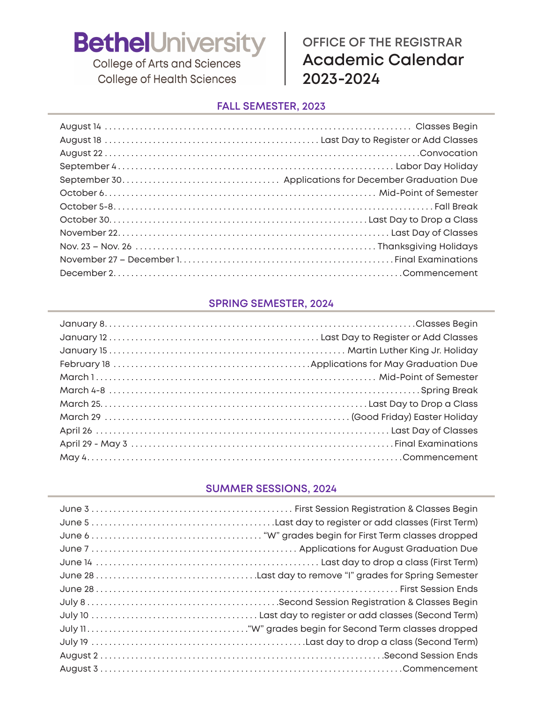College of Arts and Sciences **College of Health Sciences** 

### **OFFICE OF THE REGISTRAR Academic Calendar 2023-2024**

#### **FALL SEMESTER, 2023**

#### **SPRING SEMESTER, 2024**

#### **SUMMER SESSIONS, 2024**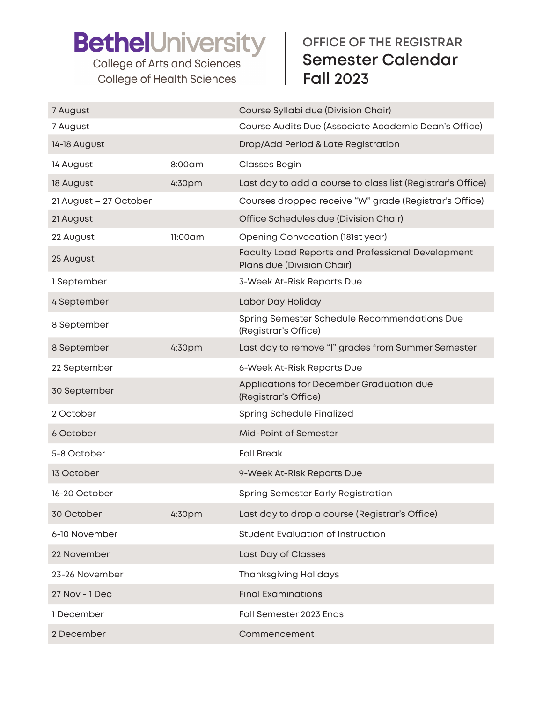College of Arts and Sciences **College of Health Sciences** 

### **OFFICE OF THE REGISTRAR Semester Calendar Fall 2023**

| 7 August               |         | Course Syllabi due (Division Chair)                                                    |
|------------------------|---------|----------------------------------------------------------------------------------------|
| 7 August               |         | Course Audits Due (Associate Academic Dean's Office)                                   |
| 14-18 August           |         | Drop/Add Period & Late Registration                                                    |
| 14 August              | 8:00am  | <b>Classes Begin</b>                                                                   |
| 18 August              | 4:30pm  | Last day to add a course to class list (Registrar's Office)                            |
| 21 August - 27 October |         | Courses dropped receive "W" grade (Registrar's Office)                                 |
| 21 August              |         | Office Schedules due (Division Chair)                                                  |
| 22 August              | 11:00am | Opening Convocation (181st year)                                                       |
| 25 August              |         | <b>Faculty Load Reports and Professional Development</b><br>Plans due (Division Chair) |
| 1 September            |         | 3-Week At-Risk Reports Due                                                             |
| 4 September            |         | Labor Day Holiday                                                                      |
| 8 September            |         | Spring Semester Schedule Recommendations Due<br>(Registrar's Office)                   |
| 8 September            | 4:30pm  | Last day to remove "I" grades from Summer Semester                                     |
| 22 September           |         | 6-Week At-Risk Reports Due                                                             |
| 30 September           |         | Applications for December Graduation due<br>(Registrar's Office)                       |
| 2 October              |         | Spring Schedule Finalized                                                              |
| 6 October              |         | Mid-Point of Semester                                                                  |
| 5-8 October            |         | <b>Fall Break</b>                                                                      |
| 13 October             |         | 9-Week At-Risk Reports Due                                                             |
| 16-20 October          |         | <b>Spring Semester Early Registration</b>                                              |
| 30 October             | 4:30pm  | Last day to drop a course (Registrar's Office)                                         |
| 6-10 November          |         | <b>Student Evaluation of Instruction</b>                                               |
| 22 November            |         | Last Day of Classes                                                                    |
| 23-26 November         |         | <b>Thanksgiving Holidays</b>                                                           |
| 27 Nov - 1 Dec         |         | <b>Final Examinations</b>                                                              |
| 1 December             |         | Fall Semester 2023 Ends                                                                |
| 2 December             |         | Commencement                                                                           |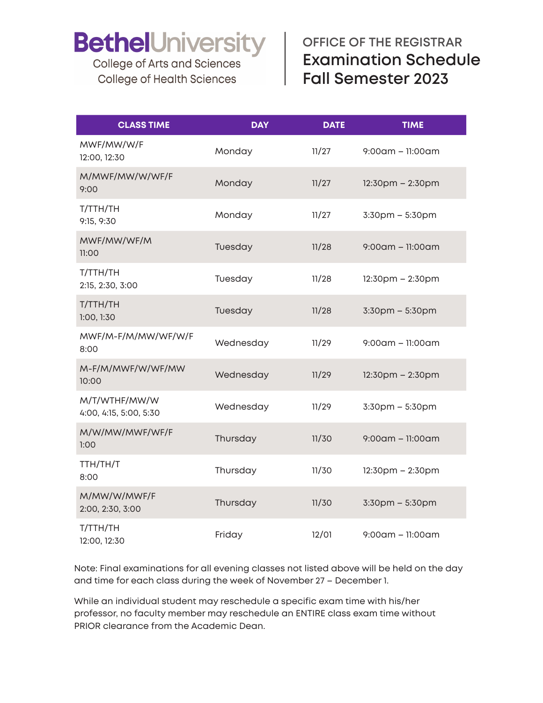**College of Arts and Sciences College of Health Sciences** 

### **OFFICE OF THE REGISTRAR Examination Schedule Fall Semester 2023**

| <b>CLASS TIME</b>                       | <b>DAY</b> | <b>DATE</b> | <b>TIME</b>            |
|-----------------------------------------|------------|-------------|------------------------|
| MWF/MW/W/F<br>12:00, 12:30              | Monday     | 11/27       | $9:00$ am - 11:00am    |
| M/MWF/MW/W/WF/F<br>9:00                 | Monday     | 11/27       | $12:30$ pm – $2:30$ pm |
| T/TTH/TH<br>9:15, 9:30                  | Monday     | 11/27       | $3:30$ pm – $5:30$ pm  |
| MWF/MW/WF/M<br>11:00                    | Tuesday    | 11/28       | $9:00$ am - 11:00am    |
| T/TTH/TH<br>2:15, 2:30, 3:00            | Tuesday    | 11/28       | $12:30$ pm $- 2:30$ pm |
| T/TTH/TH<br>1:00, 1:30                  | Tuesday    | 11/28       | $3:30$ pm $-5:30$ pm   |
| MWF/M-F/M/MW/WF/W/F<br>8:00             | Wednesday  | 11/29       | $9:00$ am - 11:00am    |
| M-F/M/MWF/W/WF/MW<br>10:00              | Wednesday  | 11/29       | $12:30$ pm $- 2:30$ pm |
| M/T/WTHF/MW/W<br>4:00, 4:15, 5:00, 5:30 | Wednesday  | 11/29       | 3:30pm - 5:30pm        |
| M/W/MW/MWF/WF/F<br>1:00                 | Thursday   | 11/30       | $9:00$ am - 11:00am    |
| TTH/TH/T<br>8:00                        | Thursday   | 11/30       | $12:30$ pm – 2:30pm    |
| M/MW/W/MWF/F<br>2:00, 2:30, 3:00        | Thursday   | 11/30       | 3:30pm - 5:30pm        |
| T/TTH/TH<br>12:00, 12:30                | Friday     | 12/01       | $9:00$ am – 11:00am    |

Note: Final examinations for all evening classes not listed above will be held on the day and time for each class during the week of November 27 – December 1.

While an individual student may reschedule a specific exam time with his/her professor, no faculty member may reschedule an ENTIRE class exam time without PRIOR clearance from the Academic Dean.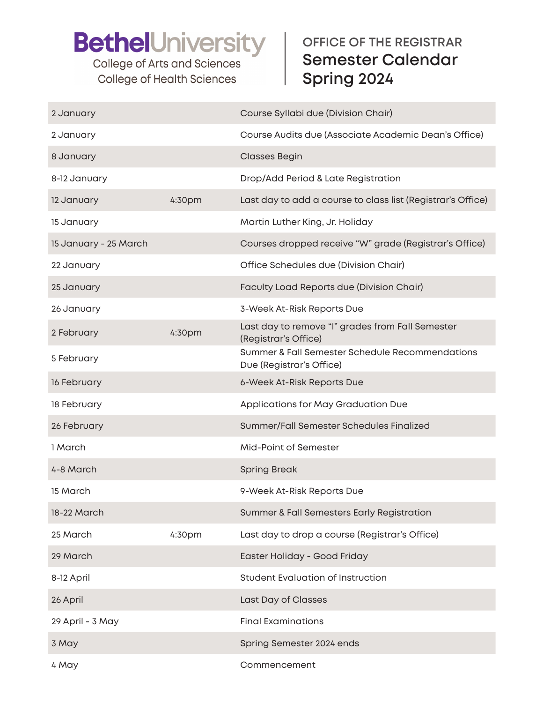**College of Arts and Sciences College of Health Sciences** 

### **OFFICE OF THE REGISTRAR Semester Calendar Spring 2024**

| 2 January             |        | Course Syllabi due (Division Chair)                                         |
|-----------------------|--------|-----------------------------------------------------------------------------|
| 2 January             |        | Course Audits due (Associate Academic Dean's Office)                        |
| 8 January             |        | <b>Classes Begin</b>                                                        |
| 8-12 January          |        | Drop/Add Period & Late Registration                                         |
| 12 January            | 4:30pm | Last day to add a course to class list (Registrar's Office)                 |
| 15 January            |        | Martin Luther King, Jr. Holiday                                             |
| 15 January - 25 March |        | Courses dropped receive "W" grade (Registrar's Office)                      |
| 22 January            |        | Office Schedules due (Division Chair)                                       |
| 25 January            |        | Faculty Load Reports due (Division Chair)                                   |
| 26 January            |        | 3-Week At-Risk Reports Due                                                  |
| 2 February            | 4:30pm | Last day to remove "I" grades from Fall Semester<br>(Registrar's Office)    |
| 5 February            |        | Summer & Fall Semester Schedule Recommendations<br>Due (Registrar's Office) |
| 16 February           |        | 6-Week At-Risk Reports Due                                                  |
| 18 February           |        | Applications for May Graduation Due                                         |
| 26 February           |        | Summer/Fall Semester Schedules Finalized                                    |
| 1 March               |        | Mid-Point of Semester                                                       |
| 4-8 March             |        | <b>Spring Break</b>                                                         |
| 15 March              |        | 9-Week At-Risk Reports Due                                                  |
| 18-22 March           |        | Summer & Fall Semesters Early Registration                                  |
| 25 March              | 4:30pm | Last day to drop a course (Registrar's Office)                              |
| 29 March              |        | Easter Holiday - Good Friday                                                |
| 8-12 April            |        | Student Evaluation of Instruction                                           |
| 26 April              |        | Last Day of Classes                                                         |
| 29 April - 3 May      |        | <b>Final Examinations</b>                                                   |
| 3 May                 |        | Spring Semester 2024 ends                                                   |
| 4 May                 |        | Commencement                                                                |